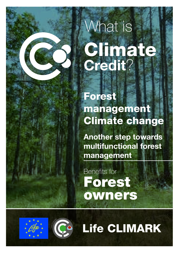# What is Climate Credit?

Forest management Climate change

Another step towards multifunctional forest management

Benefits for Forest owners





Life CLIMARK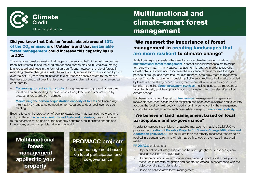

#### Did you know that Catalan forests absorb around 10% of the CO<sub>2</sub> emissions of Catalonia and that sustainable forest management could increase this capacity by up to 20%

The extensive forest expansion that began in the second half of the last century has been instrumental in sequestering atmospheric carbon dioxide in Catalonia, storing it in forest soil and trees in the form of carbon. Today, however, the role of forests in mitigating climate change is at risk: the rate of CO<sub>2</sub> sequestration has dropped by 17% over the last 25 years and an increase in disturbances poses a threat to the stocks that have accumulated over the decades. If properly planned, forest management can contribute to:

- Conserving current carbon stocks through measures to prevent large-scale forest fires by supporting the production of long-lived wood products and by protecting forest soils from damage.
- Maintaining the carbon sequestration capacity of forests and increasing their vitality by regulating competition for resources and, at local level, by tree planting.

Beyond forests, the production of local renewable raw materials, such as wood and cork, facilitates the replacement of fossil fuels and materials, thus contributing to the decarbonisation goals of the economy contemplated in climate change and bioeconomy promotion policies all over the world.

### **Multifunctional** forest management applied to your property

### PROMACC projects

Land management based on local participation and co-governance

# Multifunctional and climate-smart forest More than just carbon  $\blacksquare$  and  $\blacksquare$  and  $\blacksquare$  and  $\blacksquare$  and  $\blacksquare$  and  $\blacksquare$  and  $\blacksquare$  and  $\blacksquare$  and  $\blacksquare$  and  $\blacksquare$  and  $\blacksquare$  and  $\blacksquare$  and  $\blacksquare$  and  $\blacksquare$  and  $\blacksquare$  and  $\blacksquare$  and  $\blacksquare$  and  $\blacksquare$  and

#### "We reassert the importance of forest management in creating landscapes that are more resilient to climate change"

Aside from helping to sustain the role of forests in climate change mitigation, multifunctional forest management is essential if our landscapes are to adapt to the new climate. In many cases, management is required in order to prevent catastrophic forest fires and to increase the resistance of forest masses to longer periods of drought and more frequent disturbances, or to allow them to regenerate sooner. Through management consisting of different objectives, the benefits provided by forests can be strengthened, making them more valuable for each region. Such benefits—so-called *forest ecosystem services*—include aspects as important as forest biodiversity and the supply of good quality water, which are also affected by climate change.

It is therefore a matter of applying **climate-smart** management that generates renewable resources, capitalises on mitigation and adaptation synergies and takes into account the local context, beyond woodlands, in order to identify the management options that are best suited to each case, while surveying its economic viability.

#### "We believe in land management based on local participation and co-governance"

In order to increase the efficiency of applied management, at Life CLIMARK we propose the creation of Forestry Projects for Climate Change Mitigation and Adaptation (PROMACC), which will set forth the forestry measures that are to be applied in a certain region and which may be financed by the new climate credit market.

PROMACC projects are:

- Dependant on voluntary support and help to highlight the forest ecosystem services available in a given place.
- Built upon collaborative landscape-scale planning, which establishes priority measures in line with mitigation and adaptation criteria, in accordance with the objectives of a particular region.
- Based on collaborative forest management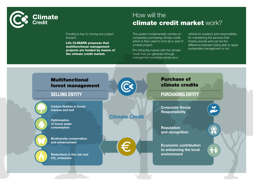

### How will the climate credit market work?

Funding is key to moving any project forward.

Life CLIMARK proposes that multifunctional management projects are funded by means of the climate credit market.

#### The system fundamentally centres on companies purchasing climate credit, which is then used to fund all or part of a forest project.

Providing the market with the climate credit that you generate through management practices serves as a

vehicle for society's joint responsibility for maintaining the services that forests provide and can be the difference between being able to apply sustainable management or not.

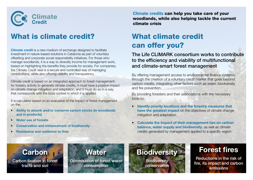

# What is climate credit?

**Climate credit** is a new medium of exchange designed to facilitate investment in nature-based solutions in Catalonia as part of voluntary offsetting and corporate social responsibility initiatives. For those who manage woodlands, it is a way to diversify income for management work, based on highlighting the benefits they provide for society. For companies, the Climate Credit seal is a secure and controlled way of managing contributions, while also offering visibility and transparency.

Climate credit is based on an integrated approach to forest management: for forestry activity to generate climate credits, it must have a positive impact on climate change mitigation and adaptation, and it must do so in a way that corresponds with the local context in which it is applied.

It is calculated based on an evaluation of the impact of forest management on the:

- Ability to absorb and/or conserve carbon stocks (in woodlands and in products)
- Water use of forests
- Conservation and enhancement of biodiversity
- Resistance and resilience to fires

Climate credits can help you take care of your woodlands, while also helping tackle the current climate crisis

# What climate credit can offer you?

### The Life CLIMARK consortium works to contribute to the efficiency and viability of multifunctional and climate-smart forest management

By offering management access to environmental finance systems, through the creation of a voluntary credit market that goes beyond carbon credits, integrating other factors such as water, biodiversity and fire prevention.

By providing foresters and their associations with the necessary tools to:

- Identify priority locations and the forestry measures that have the greatest impact on the objectives of climate change mitigation and adaptation.
- Calculate the impact of their management has on carbon balance, water supply and biodiversity, as well as climate credits generated by management applied to a specific region

## **Carbon**

Carbon fixation in forest tracts and soil

### **Water** Optimisation of forest water consumption

**Biodiversity** 

**Biodiversity** conservation

# Forest fires

Reductions in the risk of fire, its impact and carbon emissions